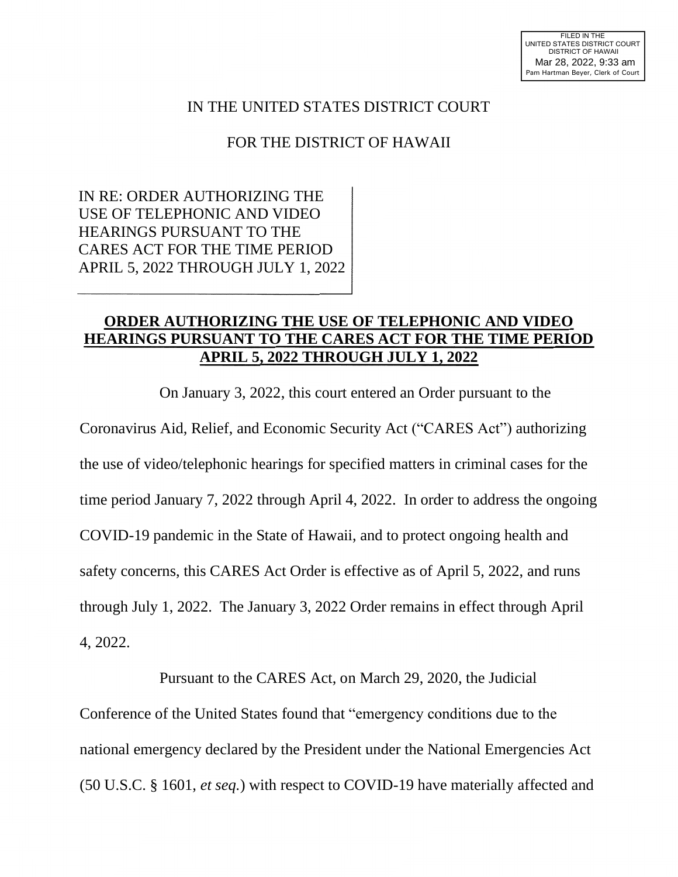## IN THE UNITED STATES DISTRICT COURT

## FOR THE DISTRICT OF HAWAII

IN RE: ORDER AUTHORIZING THE USE OF TELEPHONIC AND VIDEO HEARINGS PURSUANT TO THE CARES ACT FOR THE TIME PERIOD APRIL 5, 2022 THROUGH JULY 1, 2022

## **ORDER AUTHORIZING THE USE OF TELEPHONIC AND VIDEO HEARINGS PURSUANT TO THE CARES ACT FOR THE TIME PERIOD APRIL 5, 2022 THROUGH JULY 1, 2022**

On January 3, 2022, this court entered an Order pursuant to the Coronavirus Aid, Relief, and Economic Security Act ("CARES Act") authorizing the use of video/telephonic hearings for specified matters in criminal cases for the time period January 7, 2022 through April 4, 2022. In order to address the ongoing COVID-19 pandemic in the State of Hawaii, and to protect ongoing health and safety concerns, this CARES Act Order is effective as of April 5, 2022, and runs through July 1, 2022. The January 3, 2022 Order remains in effect through April 4, 2022.

Pursuant to the CARES Act, on March 29, 2020, the Judicial Conference of the United States found that "emergency conditions due to the national emergency declared by the President under the National Emergencies Act (50 U.S.C. § 1601, *et seq.*) with respect to COVID-19 have materially affected and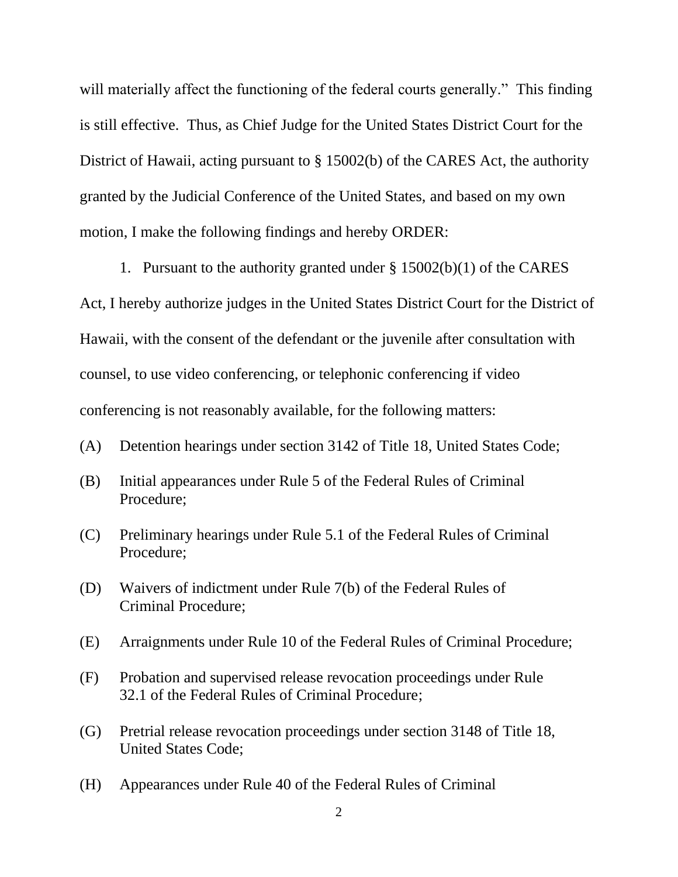will materially affect the functioning of the federal courts generally." This finding is still effective. Thus, as Chief Judge for the United States District Court for the District of Hawaii, acting pursuant to § 15002(b) of the CARES Act, the authority granted by the Judicial Conference of the United States, and based on my own motion, I make the following findings and hereby ORDER:

1. Pursuant to the authority granted under § 15002(b)(1) of the CARES Act, I hereby authorize judges in the United States District Court for the District of Hawaii, with the consent of the defendant or the juvenile after consultation with counsel, to use video conferencing, or telephonic conferencing if video conferencing is not reasonably available, for the following matters:

- (A) Detention hearings under section 3142 of Title 18, United States Code;
- (B) Initial appearances under Rule 5 of the Federal Rules of Criminal Procedure;
- (C) Preliminary hearings under Rule 5.1 of the Federal Rules of Criminal Procedure;
- (D) Waivers of indictment under Rule 7(b) of the Federal Rules of Criminal Procedure;
- (E) Arraignments under Rule 10 of the Federal Rules of Criminal Procedure;
- (F) Probation and supervised release revocation proceedings under Rule 32.1 of the Federal Rules of Criminal Procedure;
- (G) Pretrial release revocation proceedings under section 3148 of Title 18, United States Code;
- (H) Appearances under Rule 40 of the Federal Rules of Criminal